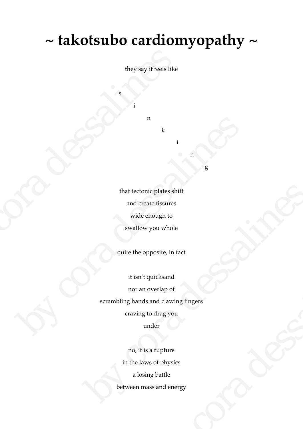## **~ takotsubo cardiomyopathy ~**

they say it feels like

n

k

i

s

i

g

n

that tectonic plates shift and create fissures wide enough to swallow you whole they say it feels like<br>
they say it feels like<br>
i<br>
i<br>
n<br>
k<br>
i<br>
that tectonic plates shift<br>
and create fissures<br>
wide enough to<br>
swallow you whole<br>
quite the opposite, in fa

quite the opposite, in fact

it isn't quicksand nor an overlap of scrambling hands and clawing fingers craving to drag you under By that tectonic plates shift<br>
and create fissures<br>
wide enough to<br>
wallow you whole<br>
quite the opposite, in fact<br>
it isn't quicks<br>and<br>
mor an overlap of<br>
scrambling hands and clawing fingers<br>
crawing to drag you<br>
under that tectonic plates shift<br>
and create fissures<br>
wide enough to<br>
swallow you whole<br>
quite the opposite, in fact<br>
t isn't quicks<br>and<br>
nor an overlap of<br>
scrambling hands and clawing fingers<br>
crawing to drag you<br>
under<br>
mo, positie, in ract<br>puicksand<br>werlap of<br>and clawing fingers<br>o drag you<br>der<br>a rupture<br>s of physics<br>g battle<br>ss and energy

no, it is a rupture in the laws of physics a losing battle between mass and energy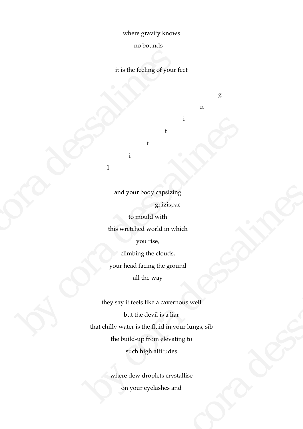where gravity knows

no bounds—

it is the feeling of your feet

g

n

i

t

and your body capsizing gnizispac

f

i

l

to mould with this wretched world in which you rise, climbing the clouds, it is the feeling of your fe<br>
is the feeling of your fe<br>
f<br>
f<br>
i<br>
and your body e<del>apsizing</del><br>
gnizispac<br>
to mould with<br>
this wretched world in whis<br>
you rise,<br>
climbing the douds,<br>
your head facing the groun

your head facing the ground

all the way

they say it feels like a cavernous well but the devil is a liar that chilly water is the fluid in your lungs, sib the build-up from elevating to such high altitudes by cora dessalines and your body experiences<br>
ganzispac<br>
to mould with<br>
this wretched world in which<br>
you rise,<br>
climbing the clouds,<br>
your head facing the ground<br>
all the way<br>
they say it feels like a cavernous well<br>
but the devil is a liar he clouds,<br>
mg the ground<br>
v. way<br>
ke a cavernous well<br>
evil is a liar<br>
fluid in your lungs, sib<br>
rom elevating to<br>
h altitudes<br>
oplets crystallise<br>
velashes and

where dew droplets crystallise on your eyelashes and